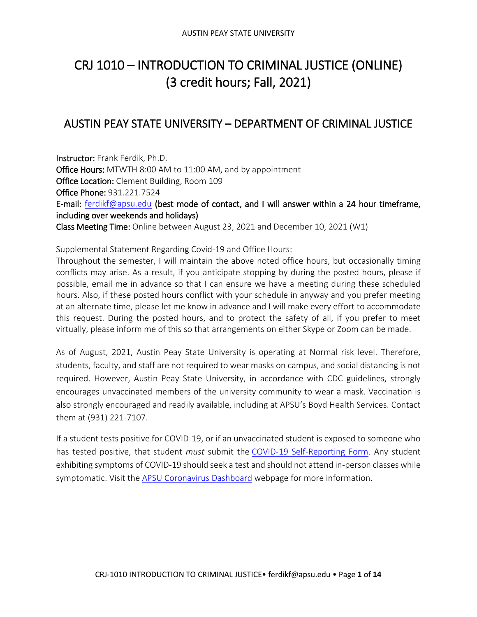# CRJ 1010 – INTRODUCTION TO CRIMINAL JUSTICE (ONLINE) (3 credit hours; Fall, 2021)

## AUSTIN PEAY STATE UNIVERSITY – DEPARTMENT OF CRIMINAL JUSTICE

Instructor: Frank Ferdik, Ph.D. Office Hours: MTWTH 8:00 AM to 11:00 AM, and by appointment Office Location: Clement Building, Room 109 Office Phone: 931.221.7524 E-mail: [ferdikf@apsu.edu](mailto:ferdikf@apsu.edu) (best mode of contact, and I will answer within a 24 hour timeframe, including over weekends and holidays) Class Meeting Time: Online between August 23, 2021 and December 10, 2021 (W1)

#### Supplemental Statement Regarding Covid-19 and Office Hours:

Throughout the semester, I will maintain the above noted office hours, but occasionally timing conflicts may arise. As a result, if you anticipate stopping by during the posted hours, please if possible, email me in advance so that I can ensure we have a meeting during these scheduled hours. Also, if these posted hours conflict with your schedule in anyway and you prefer meeting at an alternate time, please let me know in advance and I will make every effort to accommodate this request. During the posted hours, and to protect the safety of all, if you prefer to meet virtually, please inform me of this so that arrangements on either Skype or Zoom can be made.

As of August, 2021, Austin Peay State University is operating at Normal risk level. Therefore, students, faculty, and staff are not required to wear masks on campus, and social distancing is not required. However, Austin Peay State University, in accordance with CDC guidelines, strongly encourages unvaccinated members of the university community to wear a mask. Vaccination is also strongly encouraged and readily available, including at APSU's Boyd Health Services. Contact them at (931) 221-7107.

If a student tests positive for COVID-19, or if an unvaccinated student is exposed to someone who has tested positive, that student *must* submit the [COVID-19 Self-Reporting Form.](https://cm.maxient.com/reportingform.php?AustinPeayStateUniv&layout_id=19) Any student exhibiting symptoms of COVID-19 should seek a test and should not attend in-person classes while symptomatic. Visit the [APSU Coronavirus Dashboard](https://apsu.edu/coronavirus/index.php) webpage for more information.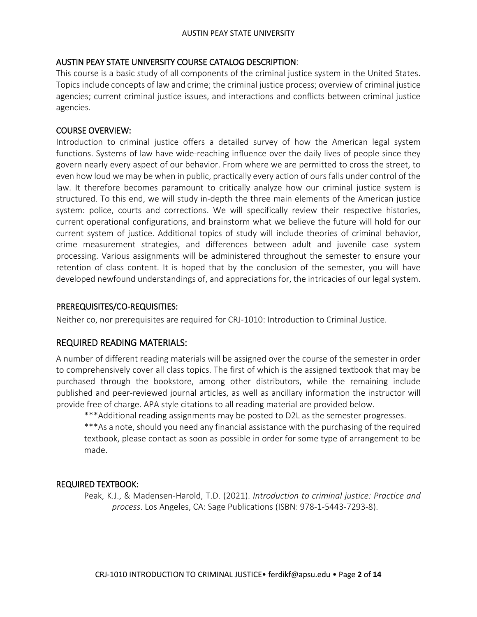### AUSTIN PEAY STATE UNIVERSITY COURSE CATALOG DESCRIPTION:

This course is a basic study of all components of the criminal justice system in the United States. Topics include concepts of law and crime; the criminal justice process; overview of criminal justice agencies; current criminal justice issues, and interactions and conflicts between criminal justice agencies.

#### COURSE OVERVIEW:

Introduction to criminal justice offers a detailed survey of how the American legal system functions. Systems of law have wide-reaching influence over the daily lives of people since they govern nearly every aspect of our behavior. From where we are permitted to cross the street, to even how loud we may be when in public, practically every action of ours falls under control of the law. It therefore becomes paramount to critically analyze how our criminal justice system is structured. To this end, we will study in-depth the three main elements of the American justice system: police, courts and corrections. We will specifically review their respective histories, current operational configurations, and brainstorm what we believe the future will hold for our current system of justice. Additional topics of study will include theories of criminal behavior, crime measurement strategies, and differences between adult and juvenile case system processing. Various assignments will be administered throughout the semester to ensure your retention of class content. It is hoped that by the conclusion of the semester, you will have developed newfound understandings of, and appreciations for, the intricacies of our legal system.

#### PREREQUISITES/CO-REQUISITIES:

Neither co, nor prerequisites are required for CRJ-1010: Introduction to Criminal Justice.

## REQUIRED READING MATERIALS:

A number of different reading materials will be assigned over the course of the semester in order to comprehensively cover all class topics. The first of which is the assigned textbook that may be purchased through the bookstore, among other distributors, while the remaining include published and peer-reviewed journal articles, as well as ancillary information the instructor will provide free of charge. APA style citations to all reading material are provided below.

\*\*\*Additional reading assignments may be posted to D2L as the semester progresses.

\*\*\*As a note, should you need any financial assistance with the purchasing of the required textbook, please contact as soon as possible in order for some type of arrangement to be made.

## REQUIRED TEXTBOOK:

Peak, K.J., & Madensen-Harold, T.D. (2021). *Introduction to criminal justice: Practice and process*. Los Angeles, CA: Sage Publications (ISBN: 978-1-5443-7293-8).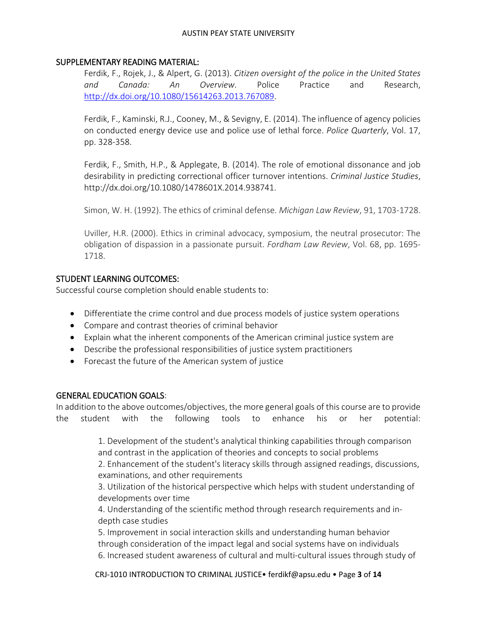#### SUPPLEMENTARY READING MATERIAL:

Ferdik, F., Rojek, J., & Alpert, G. (2013). *Citizen oversight of the police in the United States and Canada: An Overview*. Police Practice and Research, [http://dx.doi.org/10.1080/15614263.2013.767089.](http://dx.doi.org/10.1080/15614263.2013.767089)

Ferdik, F., Kaminski, R.J., Cooney, M., & Sevigny, E. (2014). The influence of agency policies on conducted energy device use and police use of lethal force. *Police Quarterly*, Vol. 17, pp. 328-358.

Ferdik, F., Smith, H.P., & Applegate, B. (2014). The role of emotional dissonance and job desirability in predicting correctional officer turnover intentions. *Criminal Justice Studies*, http://dx.doi.org/10.1080/1478601X.2014.938741.

Simon, W. H. (1992). The ethics of criminal defense. *Michigan Law Review*, 91, 1703-1728.

Uviller, H.R. (2000). Ethics in criminal advocacy, symposium, the neutral prosecutor: The obligation of dispassion in a passionate pursuit. *Fordham Law Review*, Vol. 68, pp. 1695- 1718.

#### STUDENT LEARNING OUTCOMES:

Successful course completion should enable students to:

- Differentiate the crime control and due process models of justice system operations
- Compare and contrast theories of criminal behavior
- Explain what the inherent components of the American criminal justice system are
- Describe the professional responsibilities of justice system practitioners
- Forecast the future of the American system of justice

## GENERAL EDUCATION GOALS:

In addition to the above outcomes/objectives, the more general goals of this course are to provide the student with the following tools to enhance his or her potential:

> 1. Development of the student's analytical thinking capabilities through comparison and contrast in the application of theories and concepts to social problems

2. Enhancement of the student's literacy skills through assigned readings, discussions, examinations, and other requirements

3. Utilization of the historical perspective which helps with student understanding of developments over time

4. Understanding of the scientific method through research requirements and indepth case studies

5. Improvement in social interaction skills and understanding human behavior through consideration of the impact legal and social systems have on individuals 6. Increased student awareness of cultural and multi-cultural issues through study of

CRJ-1010 INTRODUCTION TO CRIMINAL JUSTICE• ferdikf@apsu.edu • Page **3** of **14**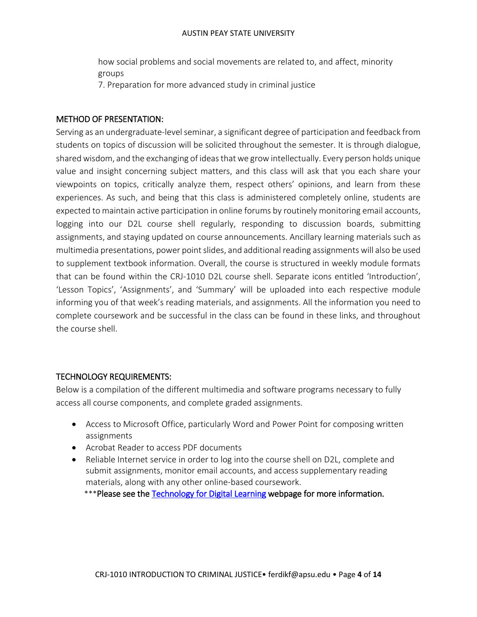how social problems and social movements are related to, and affect, minority groups

7. Preparation for more advanced study in criminal justice

### METHOD OF PRESENTATION:

Serving as an undergraduate-level seminar, a significant degree of participation and feedback from students on topics of discussion will be solicited throughout the semester. It is through dialogue, shared wisdom, and the exchanging of ideas that we grow intellectually. Every person holds unique value and insight concerning subject matters, and this class will ask that you each share your viewpoints on topics, critically analyze them, respect others' opinions, and learn from these experiences. As such, and being that this class is administered completely online, students are expected to maintain active participation in online forums by routinely monitoring email accounts, logging into our D2L course shell regularly, responding to discussion boards, submitting assignments, and staying updated on course announcements. Ancillary learning materials such as multimedia presentations, power point slides, and additional reading assignments will also be used to supplement textbook information. Overall, the course is structured in weekly module formats that can be found within the CRJ-1010 D2L course shell. Separate icons entitled 'Introduction', 'Lesson Topics', 'Assignments', and 'Summary' will be uploaded into each respective module informing you of that week's reading materials, and assignments. All the information you need to complete coursework and be successful in the class can be found in these links, and throughout the course shell.

## TECHNOLOGY REQUIREMENTS:

Below is a compilation of the different multimedia and software programs necessary to fully access all course components, and complete graded assignments.

- Access to Microsoft Office, particularly Word and Power Point for composing written assignments
- Acrobat Reader to access PDF documents
- Reliable Internet service in order to log into the course shell on D2L, complete and submit assignments, monitor email accounts, and access supplementary reading materials, along with any other online-based coursework.

\*\*\*Please see the [Technology for Digital Learning](https://apsu.edu/online/introduction/requirements.php) webpage for more information.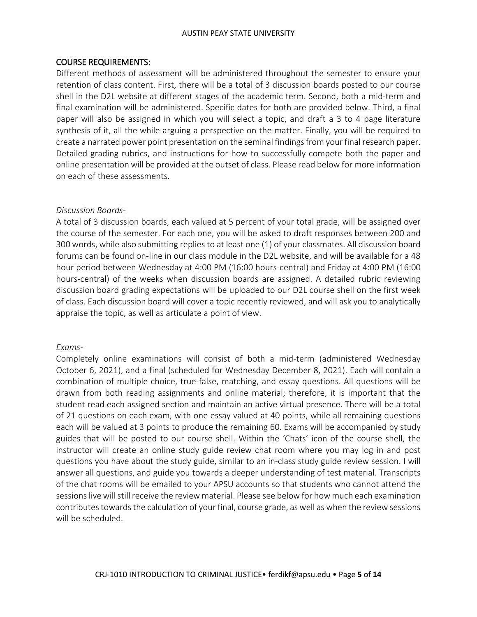#### COURSE REQUIREMENTS:

Different methods of assessment will be administered throughout the semester to ensure your retention of class content. First, there will be a total of 3 discussion boards posted to our course shell in the D2L website at different stages of the academic term. Second, both a mid-term and final examination will be administered. Specific dates for both are provided below. Third, a final paper will also be assigned in which you will select a topic, and draft a 3 to 4 page literature synthesis of it, all the while arguing a perspective on the matter. Finally, you will be required to create a narrated power point presentation on the seminal findings from your final research paper. Detailed grading rubrics, and instructions for how to successfully compete both the paper and online presentation will be provided at the outset of class. Please read below for more information on each of these assessments.

#### *Discussion Boards-*

A total of 3 discussion boards, each valued at 5 percent of your total grade, will be assigned over the course of the semester. For each one, you will be asked to draft responses between 200 and 300 words, while also submitting replies to at least one (1) of your classmates. All discussion board forums can be found on-line in our class module in the D2L website, and will be available for a 48 hour period between Wednesday at 4:00 PM (16:00 hours-central) and Friday at 4:00 PM (16:00 hours-central) of the weeks when discussion boards are assigned. A detailed rubric reviewing discussion board grading expectations will be uploaded to our D2L course shell on the first week of class. Each discussion board will cover a topic recently reviewed, and will ask you to analytically appraise the topic, as well as articulate a point of view.

#### *Exams-*

Completely online examinations will consist of both a mid-term (administered Wednesday October 6, 2021), and a final (scheduled for Wednesday December 8, 2021). Each will contain a combination of multiple choice, true-false, matching, and essay questions. All questions will be drawn from both reading assignments and online material; therefore, it is important that the student read each assigned section and maintain an active virtual presence. There will be a total of 21 questions on each exam, with one essay valued at 40 points, while all remaining questions each will be valued at 3 points to produce the remaining 60. Exams will be accompanied by study guides that will be posted to our course shell. Within the 'Chats' icon of the course shell, the instructor will create an online study guide review chat room where you may log in and post questions you have about the study guide, similar to an in-class study guide review session. I will answer all questions, and guide you towards a deeper understanding of test material. Transcripts of the chat rooms will be emailed to your APSU accounts so that students who cannot attend the sessions live will still receive the review material. Please see below for how much each examination contributes towards the calculation of your final, course grade, as well as when the review sessions will be scheduled.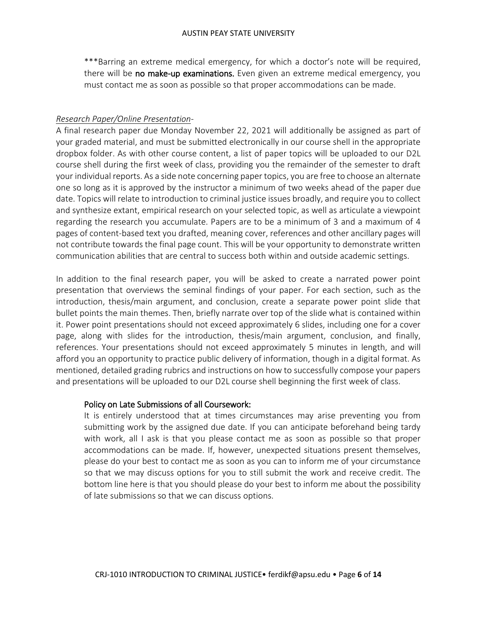\*\*\*Barring an extreme medical emergency, for which a doctor's note will be required, there will be no make-up examinations. Even given an extreme medical emergency, you must contact me as soon as possible so that proper accommodations can be made.

#### *Research Paper/Online Presentation*-

A final research paper due Monday November 22, 2021 will additionally be assigned as part of your graded material, and must be submitted electronically in our course shell in the appropriate dropbox folder. As with other course content, a list of paper topics will be uploaded to our D2L course shell during the first week of class, providing you the remainder of the semester to draft your individual reports. As a side note concerning paper topics, you are free to choose an alternate one so long as it is approved by the instructor a minimum of two weeks ahead of the paper due date. Topics will relate to introduction to criminal justice issues broadly, and require you to collect and synthesize extant, empirical research on your selected topic, as well as articulate a viewpoint regarding the research you accumulate. Papers are to be a minimum of 3 and a maximum of 4 pages of content-based text you drafted, meaning cover, references and other ancillary pages will not contribute towards the final page count. This will be your opportunity to demonstrate written communication abilities that are central to success both within and outside academic settings.

In addition to the final research paper, you will be asked to create a narrated power point presentation that overviews the seminal findings of your paper. For each section, such as the introduction, thesis/main argument, and conclusion, create a separate power point slide that bullet points the main themes. Then, briefly narrate over top of the slide what is contained within it. Power point presentations should not exceed approximately 6 slides, including one for a cover page, along with slides for the introduction, thesis/main argument, conclusion, and finally, references. Your presentations should not exceed approximately 5 minutes in length, and will afford you an opportunity to practice public delivery of information, though in a digital format. As mentioned, detailed grading rubrics and instructions on how to successfully compose your papers and presentations will be uploaded to our D2L course shell beginning the first week of class.

#### Policy on Late Submissions of all Coursework:

It is entirely understood that at times circumstances may arise preventing you from submitting work by the assigned due date. If you can anticipate beforehand being tardy with work, all I ask is that you please contact me as soon as possible so that proper accommodations can be made. If, however, unexpected situations present themselves, please do your best to contact me as soon as you can to inform me of your circumstance so that we may discuss options for you to still submit the work and receive credit. The bottom line here is that you should please do your best to inform me about the possibility of late submissions so that we can discuss options.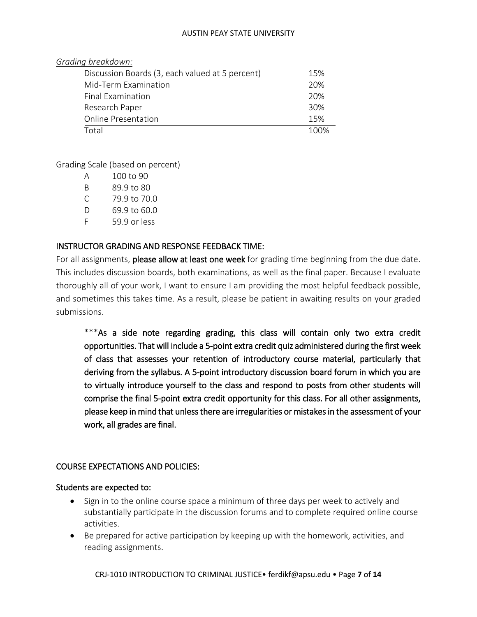| Grading breakdown:                              |     |
|-------------------------------------------------|-----|
| Discussion Boards (3, each valued at 5 percent) | 15% |
| Mid-Term Examination                            | 20% |
| Final Examination                               | 20% |
| Research Paper                                  | 30% |
| <b>Online Presentation</b>                      | 15% |
| T <sub>ntal</sub>                               |     |

Grading Scale (based on percent)

| А  | 100 to 90    |
|----|--------------|
| R  | 89.9 to 80   |
| C  | 79.9 to 70.0 |
| D  | 69.9 to 60.0 |
| F. | 59.9 or less |

## INSTRUCTOR GRADING AND RESPONSE FEEDBACK TIME:

For all assignments, please allow at least one week for grading time beginning from the due date. This includes discussion boards, both examinations, as well as the final paper. Because I evaluate thoroughly all of your work, I want to ensure I am providing the most helpful feedback possible, and sometimes this takes time. As a result, please be patient in awaiting results on your graded submissions.

\*\*\*As a side note regarding grading, this class will contain only two extra credit opportunities. That will include a 5-point extra credit quiz administered during the first week of class that assesses your retention of introductory course material, particularly that deriving from the syllabus. A 5-point introductory discussion board forum in which you are to virtually introduce yourself to the class and respond to posts from other students will comprise the final 5-point extra credit opportunity for this class. For all other assignments, please keep in mind that unless there are irregularities or mistakes in the assessment of your work, all grades are final.

## COURSE EXPECTATIONS AND POLICIES:

#### Students are expected to:

- Sign in to the online course space a minimum of three days per week to actively and substantially participate in the discussion forums and to complete required online course activities.
- Be prepared for active participation by keeping up with the homework, activities, and reading assignments.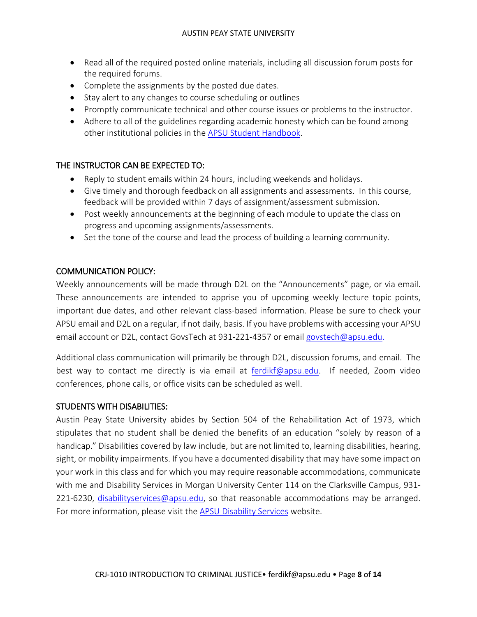- Read all of the required posted online materials, including all discussion forum posts for the required forums.
- Complete the assignments by the posted due dates.
- Stay alert to any changes to course scheduling or outlines
- Promptly communicate technical and other course issues or problems to the instructor.
- Adhere to all of the guidelines regarding academic honesty which can be found among other institutional policies in the [APSU Student Handbook.](https://apsu.edu/handbook/index.php)

## THE INSTRUCTOR CAN BE EXPECTED TO:

- Reply to student emails within 24 hours, including weekends and holidays.
- Give timely and thorough feedback on all assignments and assessments. In this course, feedback will be provided within 7 days of assignment/assessment submission.
- Post weekly announcements at the beginning of each module to update the class on progress and upcoming assignments/assessments.
- Set the tone of the course and lead the process of building a learning community.

## COMMUNICATION POLICY:

Weekly announcements will be made through D2L on the "Announcements" page, or via email. These announcements are intended to apprise you of upcoming weekly lecture topic points, important due dates, and other relevant class-based information. Please be sure to check your APSU email and D2L on a regular, if not daily, basis. If you have problems with accessing your APSU email account or D2L, contact GovsTech at 931-221-4357 or email [govstech@apsu.edu.](mailto:govstech@apsu.edu)

Additional class communication will primarily be through D2L, discussion forums, and email. The best way to contact me directly is via email at [ferdikf@apsu.edu.](mailto:ferdikf@apsu.edu) If needed, Zoom video conferences, phone calls, or office visits can be scheduled as well.

## STUDENTS WITH DISABILITIES:

Austin Peay State University abides by Section 504 of the Rehabilitation Act of 1973, which stipulates that no student shall be denied the benefits of an education "solely by reason of a handicap." Disabilities covered by law include, but are not limited to, learning disabilities, hearing, sight, or mobility impairments. If you have a documented disability that may have some impact on your work in this class and for which you may require reasonable accommodations, communicate with me and Disability Services in Morgan University Center 114 on the Clarksville Campus, 931- 221-6230, [disabilityservices@apsu.edu,](mailto:disabilityservices@apsu.edu) so that reasonable accommodations may be arranged. For more information, please visit the [APSU Disability Services](https://www.apsu.edu/disability/) website.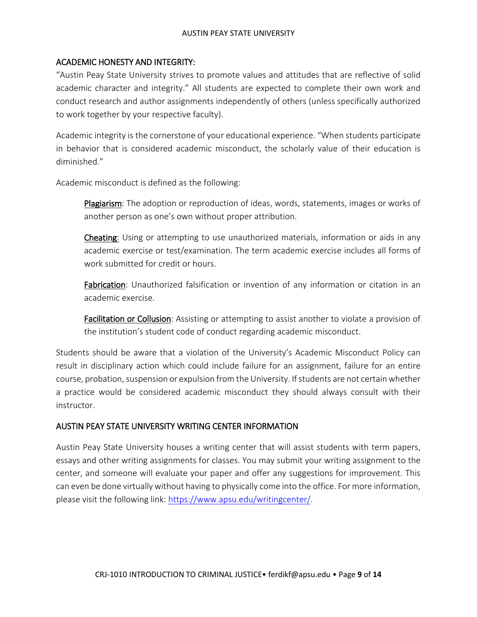## ACADEMIC HONESTY AND INTEGRITY:

"Austin Peay State University strives to promote values and attitudes that are reflective of solid academic character and integrity." All students are expected to complete their own work and conduct research and author assignments independently of others (unless specifically authorized to work together by your respective faculty).

Academic integrity is the cornerstone of your educational experience. "When students participate in behavior that is considered academic misconduct, the scholarly value of their education is diminished."

Academic misconduct is defined as the following:

Plagiarism: The adoption or reproduction of ideas, words, statements, images or works of another person as one's own without proper attribution.

Cheating: Using or attempting to use unauthorized materials, information or aids in any academic exercise or test/examination. The term academic exercise includes all forms of work submitted for credit or hours.

Fabrication: Unauthorized falsification or invention of any information or citation in an academic exercise.

**Facilitation or Collusion**: Assisting or attempting to assist another to violate a provision of the institution's student code of conduct regarding academic misconduct.

Students should be aware that a violation of the University's Academic Misconduct Policy can result in disciplinary action which could include failure for an assignment, failure for an entire course, probation, suspension or expulsion from the University. If students are not certain whether a practice would be considered academic misconduct they should always consult with their instructor.

## AUSTIN PEAY STATE UNIVERSITY WRITING CENTER INFORMATION

Austin Peay State University houses a writing center that will assist students with term papers, essays and other writing assignments for classes. You may submit your writing assignment to the center, and someone will evaluate your paper and offer any suggestions for improvement. This can even be done virtually without having to physically come into the office. For more information, please visit the following link: [https://www.apsu.edu/writingcenter/.](https://www.apsu.edu/writingcenter/)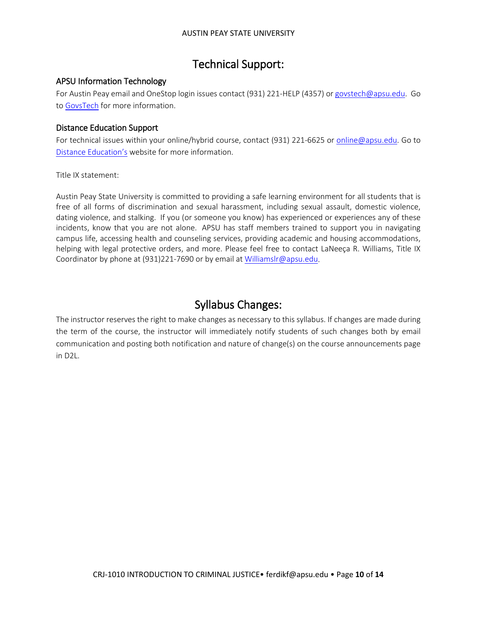## Technical Support:

## APSU Information Technology

For Austin Peay email and OneStop login issues contact (931) 221-HELP (4357) o[r govstech@apsu.edu.](mailto:govstech@apsu.edu) Go to [GovsTech](https://www.apsu.edu/information-technology/helpdesk/) for more information.

#### Distance Education Support

For technical issues within your online/hybrid course, contact (931) 221-6625 or [online@apsu.edu.](mailto:online@apsu.edu) Go to [Distance Education's](http://apsu.edu/online) website for more information.

Title IX statement:

Austin Peay State University is committed to providing a safe learning environment for all students that is free of all forms of discrimination and sexual harassment, including sexual assault, domestic violence, dating violence, and stalking. If you (or someone you know) has experienced or experiences any of these incidents, know that you are not alone. APSU has staff members trained to support you in navigating campus life, accessing health and counseling services, providing academic and housing accommodations, helping with legal protective orders, and more. Please feel free to contact LaNeeça R. Williams, Title IX Coordinator by phone at (931)221-7690 or by email at [Williamslr@apsu.edu.](mailto:Williamslr@apsu.edu)

## Syllabus Changes:

The instructor reserves the right to make changes as necessary to this syllabus. If changes are made during the term of the course, the instructor will immediately notify students of such changes both by email communication and posting both notification and nature of change(s) on the course announcements page in D2L.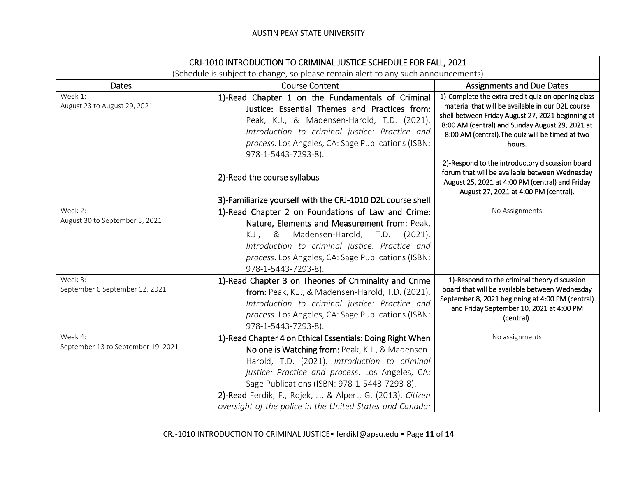| CRJ-1010 INTRODUCTION TO CRIMINAL JUSTICE SCHEDULE FOR FALL, 2021                 |                                                                                                                                                                                                                                                                                                                                                                                              |                                                                                                                                                                                                                                                                                                                                                                                                                                       |
|-----------------------------------------------------------------------------------|----------------------------------------------------------------------------------------------------------------------------------------------------------------------------------------------------------------------------------------------------------------------------------------------------------------------------------------------------------------------------------------------|---------------------------------------------------------------------------------------------------------------------------------------------------------------------------------------------------------------------------------------------------------------------------------------------------------------------------------------------------------------------------------------------------------------------------------------|
| (Schedule is subject to change, so please remain alert to any such announcements) |                                                                                                                                                                                                                                                                                                                                                                                              |                                                                                                                                                                                                                                                                                                                                                                                                                                       |
| <b>Dates</b>                                                                      | <b>Course Content</b>                                                                                                                                                                                                                                                                                                                                                                        | <b>Assignments and Due Dates</b>                                                                                                                                                                                                                                                                                                                                                                                                      |
| Week 1:<br>August 23 to August 29, 2021                                           | 1)-Read Chapter 1 on the Fundamentals of Criminal<br>Justice: Essential Themes and Practices from:<br>Peak, K.J., & Madensen-Harold, T.D. (2021).<br>Introduction to criminal justice: Practice and<br>process. Los Angeles, CA: Sage Publications (ISBN:<br>978-1-5443-7293-8).<br>2)-Read the course syllabus                                                                              | 1)-Complete the extra credit quiz on opening class<br>material that will be available in our D2L course<br>shell between Friday August 27, 2021 beginning at<br>8:00 AM (central) and Sunday August 29, 2021 at<br>8:00 AM (central). The quiz will be timed at two<br>hours.<br>2)-Respond to the introductory discussion board<br>forum that will be available between Wednesday<br>August 25, 2021 at 4:00 PM (central) and Friday |
|                                                                                   | 3)-Familiarize yourself with the CRJ-1010 D2L course shell                                                                                                                                                                                                                                                                                                                                   | August 27, 2021 at 4:00 PM (central).                                                                                                                                                                                                                                                                                                                                                                                                 |
| Week 2:<br>August 30 to September 5, 2021                                         | 1)-Read Chapter 2 on Foundations of Law and Crime:<br>Nature, Elements and Measurement from: Peak,<br>Madensen-Harold, T.D.<br>(2021).<br>K.J., &<br>Introduction to criminal justice: Practice and<br>process. Los Angeles, CA: Sage Publications (ISBN:<br>978-1-5443-7293-8).                                                                                                             | No Assignments                                                                                                                                                                                                                                                                                                                                                                                                                        |
| Week 3:<br>September 6 September 12, 2021                                         | 1)-Read Chapter 3 on Theories of Criminality and Crime<br>from: Peak, K.J., & Madensen-Harold, T.D. (2021).<br>Introduction to criminal justice: Practice and<br>process. Los Angeles, CA: Sage Publications (ISBN:<br>978-1-5443-7293-8).                                                                                                                                                   | 1)-Respond to the criminal theory discussion<br>board that will be available between Wednesday<br>September 8, 2021 beginning at 4:00 PM (central)<br>and Friday September 10, 2021 at 4:00 PM<br>(central).                                                                                                                                                                                                                          |
| Week 4:<br>September 13 to September 19, 2021                                     | 1)-Read Chapter 4 on Ethical Essentials: Doing Right When<br>No one is Watching from: Peak, K.J., & Madensen-<br>Harold, T.D. (2021). Introduction to criminal<br>justice: Practice and process. Los Angeles, CA:<br>Sage Publications (ISBN: 978-1-5443-7293-8).<br>2)-Read Ferdik, F., Rojek, J., & Alpert, G. (2013). Citizen<br>oversight of the police in the United States and Canada: | No assignments                                                                                                                                                                                                                                                                                                                                                                                                                        |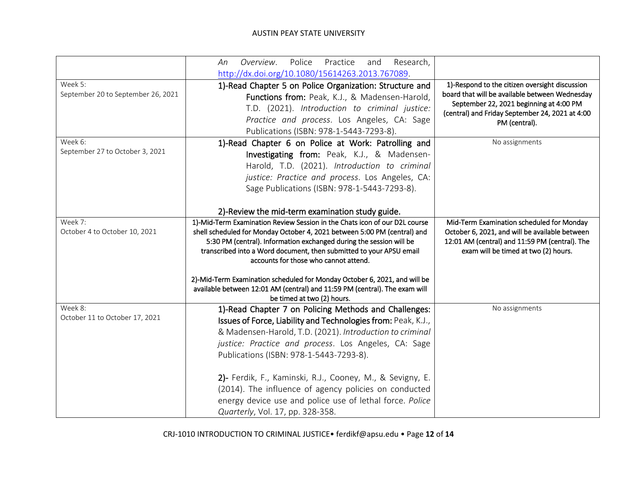|                                               | Overview.<br>Police<br>Practice<br>Research,<br>and<br>An<br>http://dx.doi.org/10.1080/15614263.2013.767089.                                                                                                                                                                                                                                                                                                                                                                                                                           |                                                                                                                                                                                                                 |
|-----------------------------------------------|----------------------------------------------------------------------------------------------------------------------------------------------------------------------------------------------------------------------------------------------------------------------------------------------------------------------------------------------------------------------------------------------------------------------------------------------------------------------------------------------------------------------------------------|-----------------------------------------------------------------------------------------------------------------------------------------------------------------------------------------------------------------|
| Week 5:<br>September 20 to September 26, 2021 | 1)-Read Chapter 5 on Police Organization: Structure and<br>Functions from: Peak, K.J., & Madensen-Harold,<br>T.D. (2021). Introduction to criminal justice:<br>Practice and process. Los Angeles, CA: Sage<br>Publications (ISBN: 978-1-5443-7293-8).                                                                                                                                                                                                                                                                                  | 1)-Respond to the citizen oversight discussion<br>board that will be available between Wednesday<br>September 22, 2021 beginning at 4:00 PM<br>(central) and Friday September 24, 2021 at 4:00<br>PM (central). |
| Week 6:<br>September 27 to October 3, 2021    | 1)-Read Chapter 6 on Police at Work: Patrolling and<br>Investigating from: Peak, K.J., & Madensen-<br>Harold, T.D. (2021). Introduction to criminal<br>justice: Practice and process. Los Angeles, CA:<br>Sage Publications (ISBN: 978-1-5443-7293-8).<br>2)-Review the mid-term examination study guide.                                                                                                                                                                                                                              | No assignments                                                                                                                                                                                                  |
| Week 7:<br>October 4 to October 10, 2021      | 1)-Mid-Term Examination Review Session in the Chats icon of our D2L course<br>shell scheduled for Monday October 4, 2021 between 5:00 PM (central) and<br>5:30 PM (central). Information exchanged during the session will be<br>transcribed into a Word document, then submitted to your APSU email<br>accounts for those who cannot attend.<br>2)-Mid-Term Examination scheduled for Monday October 6, 2021, and will be<br>available between 12:01 AM (central) and 11:59 PM (central). The exam will<br>be timed at two (2) hours. | Mid-Term Examination scheduled for Monday<br>October 6, 2021, and will be available between<br>12:01 AM (central) and 11:59 PM (central). The<br>exam will be timed at two (2) hours.                           |
| Week 8:<br>October 11 to October 17, 2021     | 1)-Read Chapter 7 on Policing Methods and Challenges:<br>Issues of Force, Liability and Technologies from: Peak, K.J.,<br>& Madensen-Harold, T.D. (2021). Introduction to criminal<br>justice: Practice and process. Los Angeles, CA: Sage<br>Publications (ISBN: 978-1-5443-7293-8).<br>2) - Ferdik, F., Kaminski, R.J., Cooney, M., & Sevigny, E.<br>(2014). The influence of agency policies on conducted<br>energy device use and police use of lethal force. Police<br>Quarterly, Vol. 17, pp. 328-358.                           | No assignments                                                                                                                                                                                                  |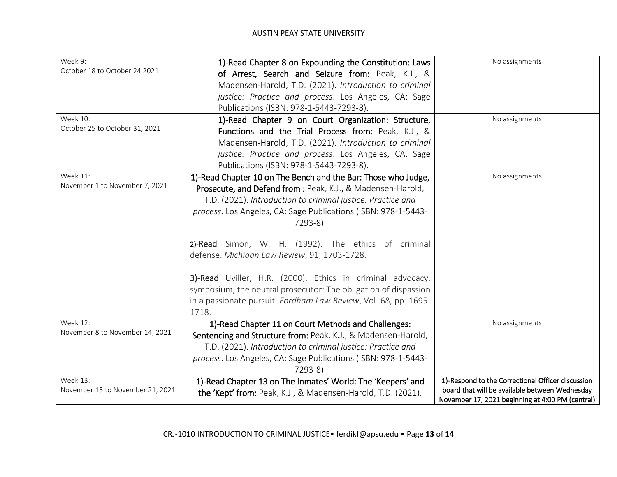| Week 9:<br>October 18 to October 24 2021 | 1)-Read Chapter 8 on Expounding the Constitution: Laws<br>of Arrest, Search and Seizure from: Peak, K.J., & | No assignments                                                                                     |
|------------------------------------------|-------------------------------------------------------------------------------------------------------------|----------------------------------------------------------------------------------------------------|
|                                          | Madensen-Harold, T.D. (2021). Introduction to criminal                                                      |                                                                                                    |
|                                          | justice: Practice and process. Los Angeles, CA: Sage                                                        |                                                                                                    |
|                                          | Publications (ISBN: 978-1-5443-7293-8).                                                                     |                                                                                                    |
| Week 10:                                 | 1)-Read Chapter 9 on Court Organization: Structure,                                                         | No assignments                                                                                     |
| October 25 to October 31, 2021           | Functions and the Trial Process from: Peak, K.J., &                                                         |                                                                                                    |
|                                          | Madensen-Harold, T.D. (2021). Introduction to criminal                                                      |                                                                                                    |
|                                          | justice: Practice and process. Los Angeles, CA: Sage                                                        |                                                                                                    |
|                                          | Publications (ISBN: 978-1-5443-7293-8).                                                                     |                                                                                                    |
| <b>Week 11:</b>                          | 1)-Read Chapter 10 on The Bench and the Bar: Those who Judge,                                               | No assignments                                                                                     |
| November 1 to November 7, 2021           | Prosecute, and Defend from : Peak, K.J., & Madensen-Harold,                                                 |                                                                                                    |
|                                          | T.D. (2021). Introduction to criminal justice: Practice and                                                 |                                                                                                    |
|                                          | process. Los Angeles, CA: Sage Publications (ISBN: 978-1-5443-                                              |                                                                                                    |
|                                          | 7293-8).                                                                                                    |                                                                                                    |
|                                          | 2)-Read Simon, W. H. (1992). The ethics of criminal                                                         |                                                                                                    |
|                                          | defense. Michigan Law Review, 91, 1703-1728.                                                                |                                                                                                    |
|                                          | 3)-Read Uviller, H.R. (2000). Ethics in criminal advocacy,                                                  |                                                                                                    |
|                                          | symposium, the neutral prosecutor: The obligation of dispassion                                             |                                                                                                    |
|                                          | in a passionate pursuit. Fordham Law Review, Vol. 68, pp. 1695-                                             |                                                                                                    |
|                                          | 1718.                                                                                                       |                                                                                                    |
| Week 12:                                 | 1)-Read Chapter 11 on Court Methods and Challenges:                                                         | No assignments                                                                                     |
| November 8 to November 14, 2021          | Sentencing and Structure from: Peak, K.J., & Madensen-Harold,                                               |                                                                                                    |
|                                          | T.D. (2021). Introduction to criminal justice: Practice and                                                 |                                                                                                    |
|                                          | process. Los Angeles, CA: Sage Publications (ISBN: 978-1-5443-                                              |                                                                                                    |
|                                          | 7293-8).                                                                                                    |                                                                                                    |
| <b>Week 13:</b>                          | 1)-Read Chapter 13 on The Inmates' World: The 'Keepers' and                                                 | 1)-Respond to the Correctional Officer discussion                                                  |
| November 15 to November 21, 2021         | the 'Kept' from: Peak, K.J., & Madensen-Harold, T.D. (2021).                                                | board that will be available between Wednesday<br>November 17, 2021 beginning at 4:00 PM (central) |